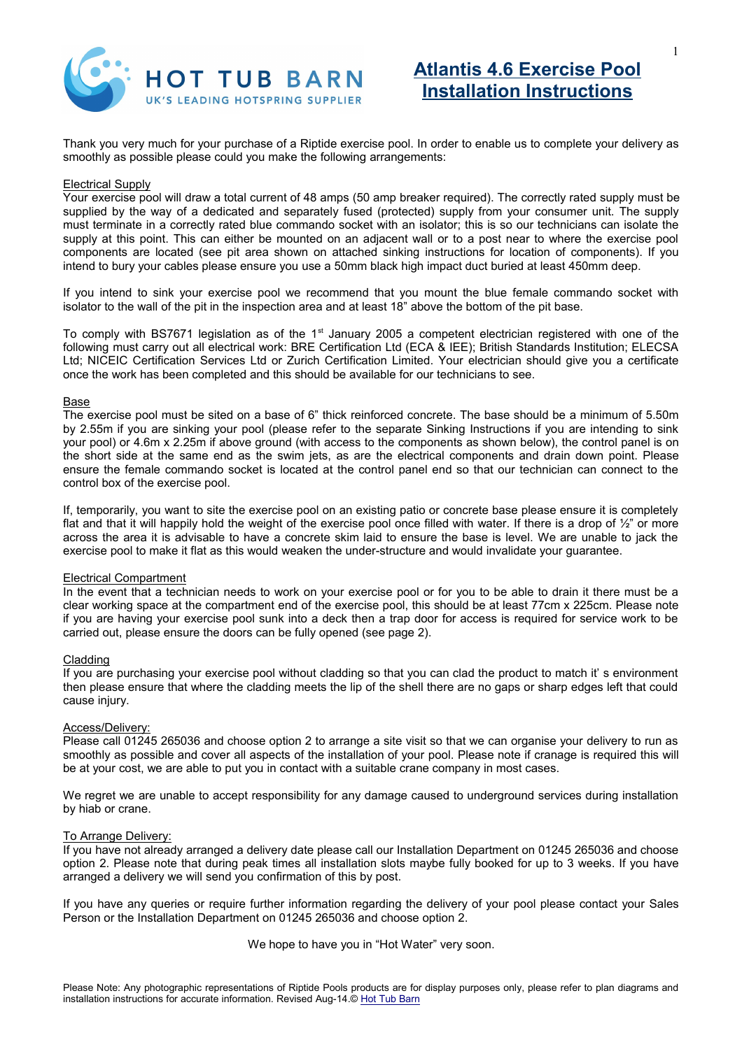

Thank you very much for your purchase of a Riptide exercise pool. In order to enable us to complete your delivery as smoothly as possible please could you make the following arrangements:

#### Electrical Supply

Your exercise pool will draw a total current of 48 amps (50 amp breaker required). The correctly rated supply must be supplied by the way of a dedicated and separately fused (protected) supply from your consumer unit. The supply must terminate in a correctly rated blue commando socket with an isolator; this is so our technicians can isolate the supply at this point. This can either be mounted on an adjacent wall or to a post near to where the exercise pool components are located (see pit area shown on attached sinking instructions for location of components). If you intend to bury your cables please ensure you use a 50mm black high impact duct buried at least 450mm deep.

If you intend to sink your exercise pool we recommend that you mount the blue female commando socket with isolator to the wall of the pit in the inspection area and at least 18" above the bottom of the pit base.

To comply with BS7671 legislation as of the 1<sup>st</sup> January 2005 a competent electrician registered with one of the following must carry out all electrical work: BRE Certification Ltd (ECA & IEE); British Standards Institution; ELECSA Ltd; NICEIC Certification Services Ltd or Zurich Certification Limited. Your electrician should give you a certificate once the work has been completed and this should be available for our technicians to see.

#### Base

The exercise pool must be sited on a base of 6" thick reinforced concrete. The base should be a minimum of 5.50m by 2.55m if you are sinking your pool (please refer to the separate Sinking Instructions if you are intending to sink your pool) or 4.6m x 2.25m if above ground (with access to the components as shown below), the control panel is on the short side at the same end as the swim jets, as are the electrical components and drain down point. Please ensure the female commando socket is located at the control panel end so that our technician can connect to the control box of the exercise pool.

If, temporarily, you want to site the exercise pool on an existing patio or concrete base please ensure it is completely flat and that it will happily hold the weight of the exercise pool once filled with water. If there is a drop of  $\frac{1}{2}$ " or more across the area it is advisable to have a concrete skim laid to ensure the base is level. We are unable to jack the exercise pool to make it flat as this would weaken the under-structure and would invalidate your guarantee.

### Electrical Compartment

In the event that a technician needs to work on your exercise pool or for you to be able to drain it there must be a clear working space at the compartment end of the exercise pool, this should be at least 77cm x 225cm. Please note if you are having your exercise pool sunk into a deck then a trap door for access is required for service work to be carried out, please ensure the doors can be fully opened (see page 2).

#### Cladding

If you are purchasing your exercise pool without cladding so that you can clad the product to match it' s environment then please ensure that where the cladding meets the lip of the shell there are no gaps or sharp edges left that could cause injury.

#### Access/Delivery:

Please call 01245 265036 and choose option 2 to arrange a site visit so that we can organise your delivery to run as smoothly as possible and cover all aspects of the installation of your pool. Please note if cranage is required this will be at your cost, we are able to put you in contact with a suitable crane company in most cases.

We regret we are unable to accept responsibility for any damage caused to underground services during installation by hiab or crane.

## To Arrange Delivery:

If you have not already arranged a delivery date please call our Installation Department on 01245 265036 and choose option 2. Please note that during peak times all installation slots maybe fully booked for up to 3 weeks. If you have arranged a delivery we will send you confirmation of this by post.

If you have any queries or require further information regarding the delivery of your pool please contact your Sales Person or the Installation Department on 01245 265036 and choose option 2.

We hope to have you in "Hot Water" very soon.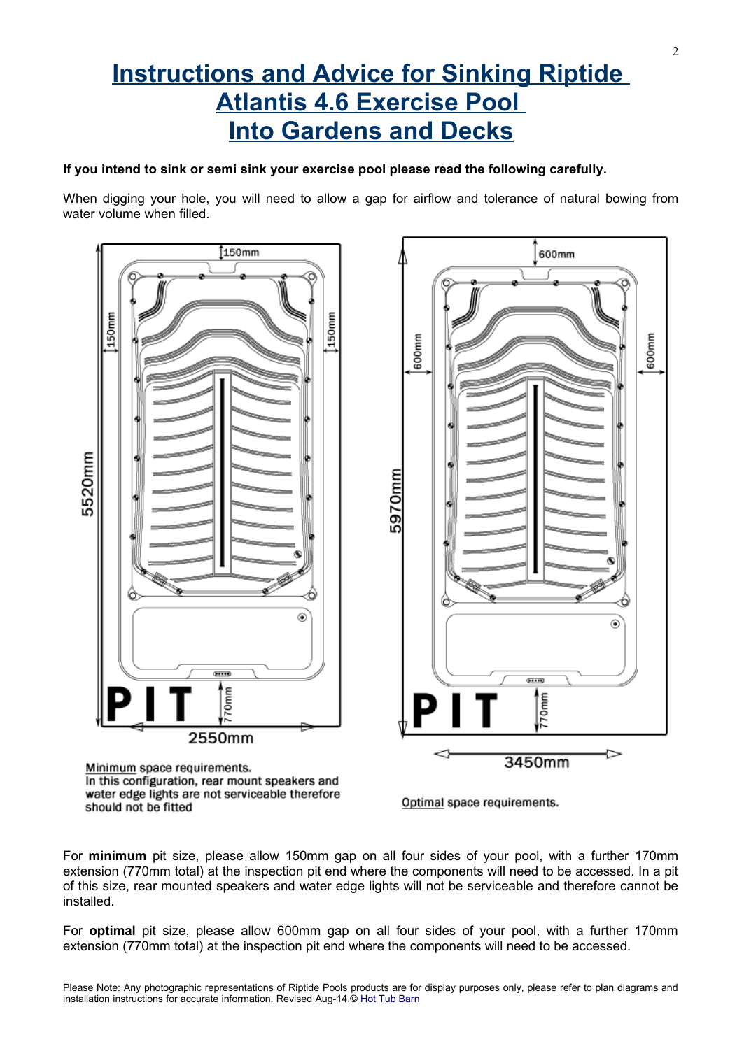# **Instructions and Advice for Sinking Riptide Atlantis 4.6 Exercise Pool Into Gardens and Decks**

# **If you intend to sink or semi sink your exercise pool please read the following carefully.**

When digging your hole, you will need to allow a gap for airflow and tolerance of natural bowing from water volume when filled.



For **minimum** pit size, please allow 150mm gap on all four sides of your pool, with a further 170mm extension (770mm total) at the inspection pit end where the components will need to be accessed. In a pit of this size, rear mounted speakers and water edge lights will not be serviceable and therefore cannot be installed.

For **optimal** pit size, please allow 600mm gap on all four sides of your pool, with a further 170mm extension (770mm total) at the inspection pit end where the components will need to be accessed.